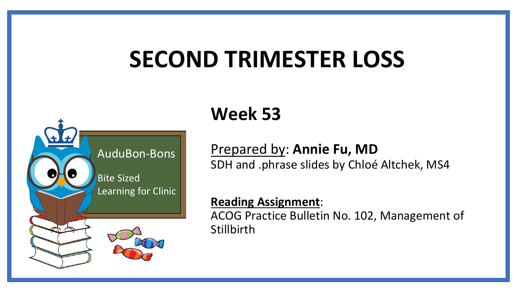# **SECOND TRIMESTER LOSS**



# **Week 53**

Prepared by: **Annie Fu, MD** SDH and .phrase slides by Chloé Altchek, MS4

#### **Reading Assignment**:

ACOG Practice Bulletin No. 102, Management of **Stillbirth**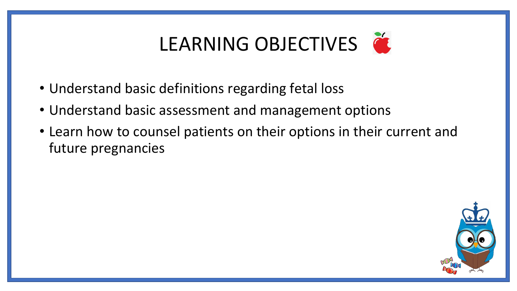# LEARNING OBJECTIVES

- Understand basic definitions regarding fetal loss
- Understand basic assessment and management options
- Learn how to counsel patients on their options in their current and future pregnancies

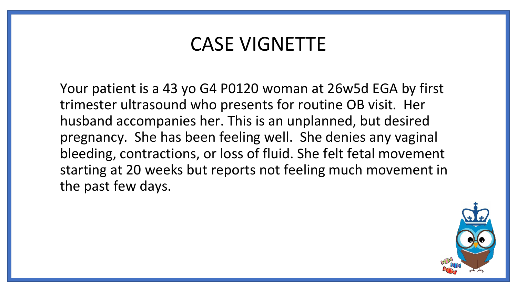## CASE VIGNETTE

Your patient is a 43 yo G4 P0120 woman at 26w5d EGA by first trimester ultrasound who presents for routine OB visit. Her husband accompanies her. This is an unplanned, but desired pregnancy. She has been feeling well. She denies any vaginal bleeding, contractions, or loss of fluid. She felt fetal movement starting at 20 weeks but reports not feeling much movement in the past few days.

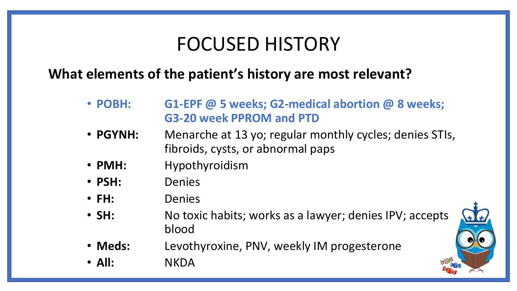## FOCUSED HISTORY

### **What elements of the patient's history are most relevant?**

- **POBH: G1-EPF @ 5 weeks; G2-medical abortion @ 8 weeks; G3-20 week PPROM and PTD**
- **PGYNH:** Menarche at 13 yo; regular monthly cycles; denies STIs, fibroids, cysts, or abnormal paps
- **PMH:** Hypothyroidism
- **PSH:** Denies
- **FH:** Denies
- **SH:** No toxic habits; works as a lawyer; denies IPV; accepts blood
- **Meds:** Levothyroxine, PNV, weekly IM progesterone
- **All:** NKDA

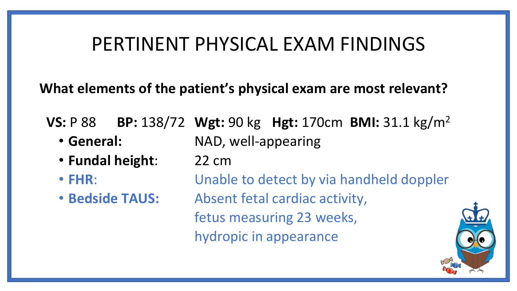## PERTINENT PHYSICAL EXAM FINDINGS

**What elements of the patient's physical exam are most relevant?**

**VS:** P 88 **BP:** 138/72 **Wgt:** 90 kg **Hgt:** 170cm **BMI:** 31.1 kg/m<sup>2</sup>

- 
- **General:** NAD, well-appearing
- **Fundal height**: 22 cm
- 
- 

• **FHR**: Unable to detect by via handheld doppler • **Bedside TAUS:** Absent fetal cardiac activity, fetus measuring 23 weeks, hydropic in appearance

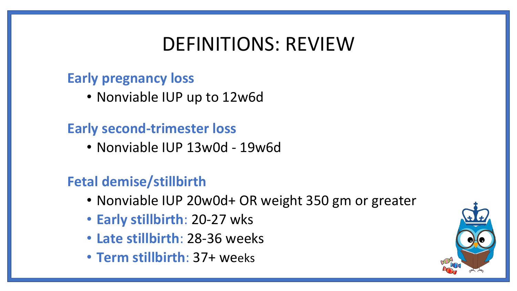## DEFINITIONS: REVIEW

### **Early pregnancy loss**

• Nonviable IUP up to 12w6d

## **Early second-trimester loss**

• Nonviable IUP 13w0d - 19w6d

## **Fetal demise/stillbirth**

- Nonviable IUP 20w0d+ OR weight 350 gm or greater
- **Early stillbirth**: 20-27 wks
- **Late stillbirth**: 28-36 weeks
- **Term stillbirth**: 37+ weeks

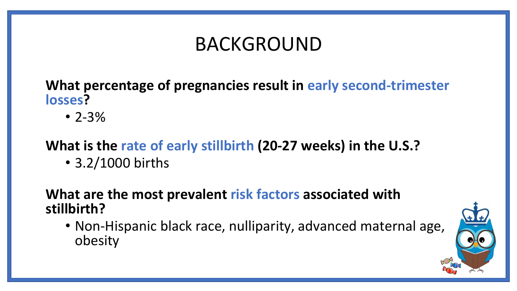## BACKGROUND

**What percentage of pregnancies result in early second-trimester losses?**

 $• 2 - 3%$ 

## **What is the rate of early stillbirth (20-27 weeks) in the U.S.?**

• 3.2/1000 births

### **What are the most prevalent risk factors associated with stillbirth?**

• Non-Hispanic black race, nulliparity, advanced maternal age, obesity

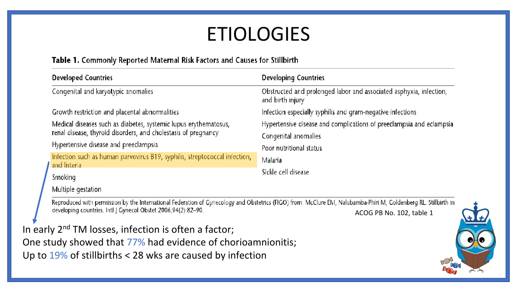# ETIOLOGIES

#### Table 1. Commonly Reported Maternal Risk Factors and Causes for Stillbirth

| <b>Developed Countries</b>                                                                                                         | <b>Developing Countries</b>                                                            |
|------------------------------------------------------------------------------------------------------------------------------------|----------------------------------------------------------------------------------------|
| Congenital and karyotypic anomalies                                                                                                | Obstructed and prolonged labor and associated asphyxia, infection,<br>and birth injury |
| Growth restriction and placental abnormalities                                                                                     | Infection especially syphilis and gram-negative infections                             |
| Medical diseases such as diabetes, systemic lupus erythematosus,<br>renal disease, thyroid disorders, and cholestasis of pregnancy | Hypertensive disease and complications of preeclampsia and eclampsia                   |
|                                                                                                                                    | Congenital anomalies                                                                   |
| Hypertensive disease and preeclampsia                                                                                              | Poor nutritional status<br>Malaria                                                     |
| Infection such as human parvovirus B19, syphilis, streptococcal infection,<br>and listeria                                         |                                                                                        |
| Smoking                                                                                                                            | Sickle cell disease                                                                    |
| Multiple gestation                                                                                                                 |                                                                                        |

-Reproduced with permission by the International Federation of Gynecology and Obstetrics (FIGO) from: McClure EM, Nalubamba-Phiri M, Goldenberg RL. Stillbirth in developing countries. Intl J Gynecol Obstet 2006;94(2):82-90. ACOG PB No. 102, table 1

In early 2<sup>nd</sup> TM losses, infection is often a factor;

One study showed that 77% had evidence of chorioamnionitis; Up to 19% of stillbirths < 28 wks are caused by infection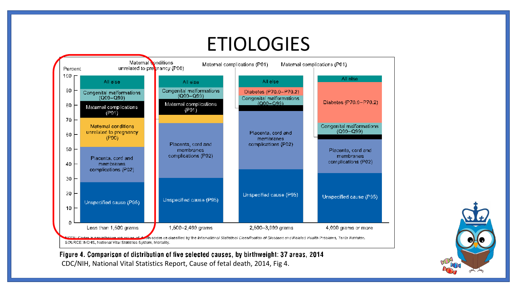# ETIOLOGIES



Figure 4. Comparison of distribution of five selected causes, by birthweight: 37 areas, 2014 CDC/NIH, National Vital Statistics Report, Cause of fetal death, 2014, Fig 4.

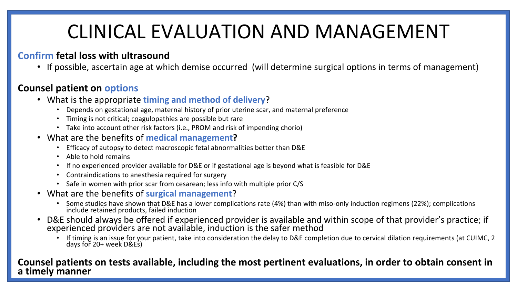## CLINICAL EVALUATION AND MANAGEMENT

#### **Confirm fetal loss with ultrasound**

• If possible, ascertain age at which demise occurred (will determine surgical options in terms of management)

#### **Counsel patient on options**

- What is the appropriate **timing and method of delivery**?
	- Depends on gestational age, maternal history of prior uterine scar, and maternal preference
	- Timing is not critical; coagulopathies are possible but rare
	- Take into account other risk factors (i.e., PROM and risk of impending chorio)
- What are the benefits of **medical management?**
	- Efficacy of autopsy to detect macroscopic fetal abnormalities better than D&E
	- Able to hold remains
	- If no experienced provider available for D&E or if gestational age is beyond what is feasible for D&E
	- Contraindications to anesthesia required for surgery
	- Safe in women with prior scar from cesarean; less info with multiple prior C/S
- What are the benefits of **surgical management**?
	- Some studies have shown that D&E has a lower complications rate (4%) than with miso-only induction regimens (22%); complications include retained products, failed induction
- D&E should always be offered if experienced provider is available and within scope of that provider's practice; if experienced providers are not available, induction is the safer method
	- If timing is an issue for your patient, take into consideration the delay to D&E completion due to cervical dilation requirements (at CUIMC, 2 days for 20+ week D&Es)

#### **Counsel patients on tests available, including the most pertinent evaluations, in order to obtain consent in a timely manner**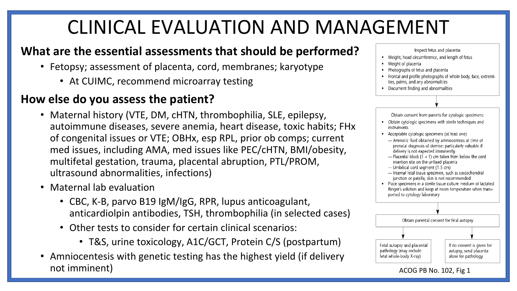# CLINICAL EVALUATION AND MANAGEMENT

### **What are the essential assessments that should be performed?**

- Fetopsy; assessment of placenta, cord, membranes; karyotype
	- At CUIMC, recommend microarray testing

### **How else do you assess the patient?**

- Maternal history (VTE, DM, cHTN, thrombophilia, SLE, epilepsy, autoimmune diseases, severe anemia, heart disease, toxic habits; FHx of congenital issues or VTE; OBHx, esp RPL, prior ob comps; current med issues, including AMA, med issues like PEC/cHTN, BMI/obesity, multifetal gestation, trauma, placental abruption, PTL/PROM, ultrasound abnormalities, infections)
- Maternal lab evaluation
	- CBC, K-B, parvo B19 IgM/IgG, RPR, lupus anticoagulant, anticardiolpin antibodies, TSH, thrombophilia (in selected cases)
	- Other tests to consider for certain clinical scenarios:
		- T&S, urine toxicology, A1C/GCT, Protein C/S (postpartum)
- Amniocentesis with genetic testing has the highest yield (if delivery not imminent) and imminent and the set of the set of the set of the set of the set of the set of the set of the set of the set of the set of the set of the set of the set of the set of the set of the set of the set of the

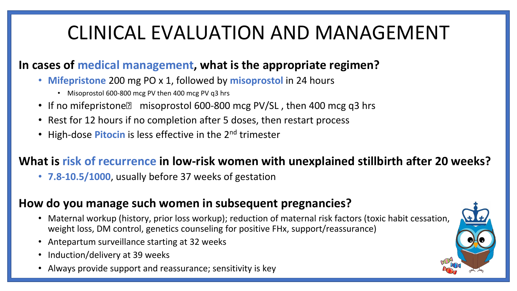## CLINICAL EVALUATION AND MANAGEMENT

### **In cases of medical management, what is the appropriate regimen?**

- **Mifepristone** 200 mg PO x 1, followed by **misoprostol** in 24 hours
	- Misoprostol 600-800 mcg PV then 400 mcg PV q3 hrs
- If no mifepristone misoprostol 600-800 mcg PV/SL, then 400 mcg q3 hrs
- Rest for 12 hours if no completion after 5 doses, then restart process
- High-dose **Pitocin** is less effective in the 2<sup>nd</sup> trimester

### **What is risk of recurrence in low-risk women with unexplained stillbirth after 20 weeks?**

• **7.8-10.5/1000**, usually before 37 weeks of gestation

#### **How do you manage such women in subsequent pregnancies?**

- Maternal workup (history, prior loss workup); reduction of maternal risk factors (toxic habit cessation, weight loss, DM control, genetics counseling for positive FHx, support/reassurance)
- Antepartum surveillance starting at 32 weeks
- Induction/delivery at 39 weeks
- Always provide support and reassurance; sensitivity is key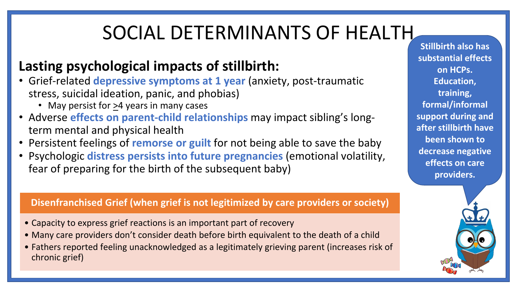# SOCIAL DETERMINANTS OF HEALTH

## **Lasting psychological impacts of stillbirth:**

- Grief-related **depressive symptoms at 1 year** (anxiety, post-traumatic stress, suicidal ideation, panic, and phobias)
	- May persist for >4 years in many cases
- Adverse **effects on parent-child relationships** may impact sibling's longterm mental and physical health
- Persistent feelings of **remorse or guilt** for not being able to save the baby
- Psychologic **distress persists into future pregnancies** (emotional volatility, fear of preparing for the birth of the subsequent baby)

#### **Disenfranchised Grief (when grief is not legitimized by care providers or society)**

- Capacity to express grief reactions is an important part of recovery
- Many care providers don't consider death before birth equivalent to the death of a child
- Fathers reported feeling unacknowledged as a legitimately grieving parent (increases risk of chronic grief)

**Stillbirth also has substantial effects on HCPs. Education, training, formal/informal support during and after stillbirth have been shown to decrease negative effects on care providers.**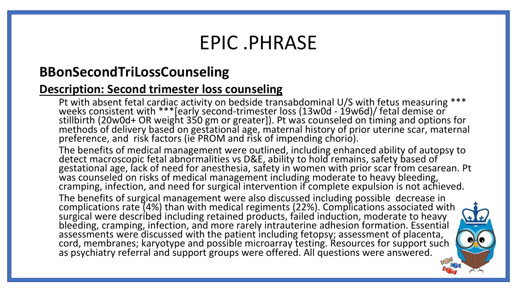## EPIC .PHRASE

### **BBonSecondTriLossCounseling**

#### **Description: Second trimester loss counseling**

Pt with absent fetal cardiac activity on bedside transabdominal U/S with fetus measuring \*\*\* weeks consistent with \*\*\*[early second-trimester loss (13w0d - 19w6d)/ fetal demise or stillbirth (20w0d+ OR weight 350 gm or greater]). Pt was counseled on timing and options for methods of delivery based on gestational age, maternal history of prior uterine scar, maternal preference, and risk factors (ie PROM and risk of impending chorio).

The benefits of medical management were outlined, including enhanced ability of autopsy to detect macroscopic fetal abnormalities vs D&E, ability to hold remains, safety based of gestational age, lack of need for anesthesia, safety in women with prior scar from cesarean. Pt was counseled on risks of medical management including moderate to heavy bleeding, cramping, infection, and need for surgical intervention if complete expulsion is not achieved.

The benefits of surgical management were also discussed including possible decrease in complications rate (4%) than with medical regiments (22%). Complications associated with surgical were described including retained products, failed induction, moderate to heavy bleeding, cramping, infection, and more rarely intrauterine adhesion formation. Essential assessments were discussed with the patient including fetopsy; assessment of placenta, cord, membranes; karyotype and possible microarray testing. Resources for support such as psychiatry referral and support groups were offered. All questions were answered.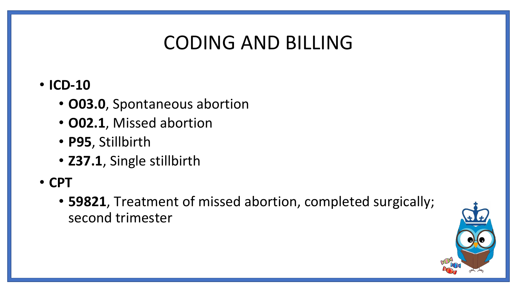## CODING AND BILLING

### • **ICD-10**

- **O03.0**, Spontaneous abortion
- **O02.1**, Missed abortion
- **P95**, Stillbirth
- **Z37.1**, Single stillbirth
- **CPT**
	- **59821**, Treatment of missed abortion, completed surgically; second trimester